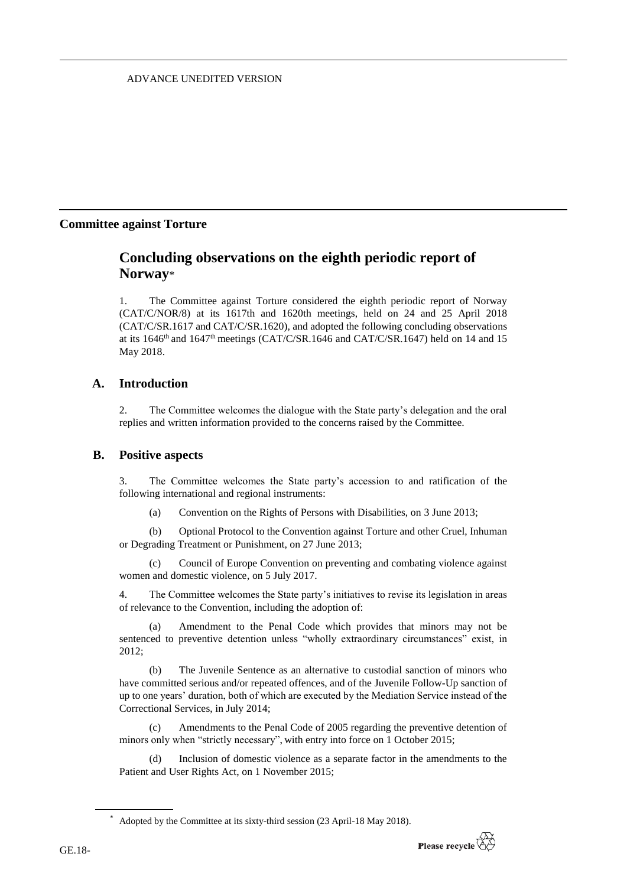## ADVANCE UNEDITED VERSION

## **Committee against Torture**

# **Concluding observations on the eighth periodic report of Norway**\*

1. The Committee against Torture considered the eighth periodic report of Norway (CAT/C/NOR/8) at its 1617th and 1620th meetings, held on 24 and 25 April 2018 (CAT/C/SR.1617 and CAT/C/SR.1620), and adopted the following concluding observations at its 1646<sup>th</sup> and 1647<sup>th</sup> meetings (CAT/C/SR.1646 and CAT/C/SR.1647) held on 14 and 15 May 2018.

## **A. Introduction**

2. The Committee welcomes the dialogue with the State party's delegation and the oral replies and written information provided to the concerns raised by the Committee.

## **B. Positive aspects**

3. The Committee welcomes the State party's accession to and ratification of the following international and regional instruments:

(a) Convention on the Rights of Persons with Disabilities, on 3 June 2013;

(b) Optional Protocol to the Convention against Torture and other Cruel, Inhuman or Degrading Treatment or Punishment, on 27 June 2013;

(c) [Council of Europe Convention on preventing and combating violence against](http://www.coe.int/fr/web/conventions/full-list/-/conventions/rms/090000168008482e)  [women and domestic violence,](http://www.coe.int/fr/web/conventions/full-list/-/conventions/rms/090000168008482e) on 5 July 2017.

4. The Committee welcomes the State party's initiatives to revise its legislation in areas of relevance to the Convention, including the adoption of:

(a) Amendment to the Penal Code which provides that minors may not be sentenced to preventive detention unless "wholly extraordinary circumstances" exist, in 2012;

(b) The Juvenile Sentence as an alternative to custodial sanction of minors who have committed serious and/or repeated offences, and of the Juvenile Follow-Up sanction of up to one years' duration, both of which are executed by the Mediation Service instead of the Correctional Services, in July 2014;

(c) Amendments to the Penal Code of 2005 regarding the preventive detention of minors only when "strictly necessary", with entry into force on 1 October 2015;

(d) Inclusion of domestic violence as a separate factor in the amendments to the Patient and User Rights Act, on 1 November 2015;

Adopted by the Committee at its sixty-third session (23 April-18 May 2018).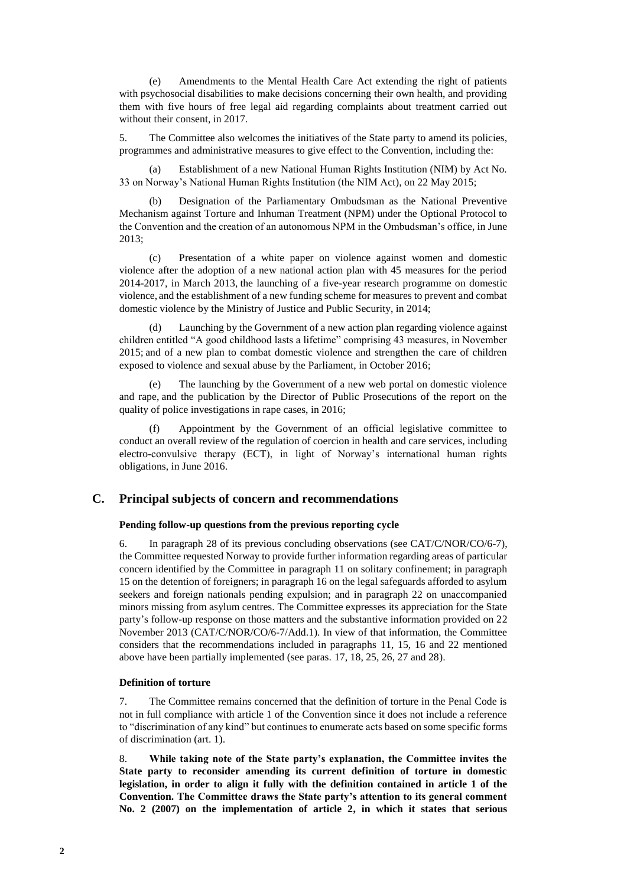(e) Amendments to the Mental Health Care Act extending the right of patients with psychosocial disabilities to make decisions concerning their own health, and providing them with five hours of free legal aid regarding complaints about treatment carried out without their consent, in 2017.

5. The Committee also welcomes the initiatives of the State party to amend its policies, programmes and administrative measures to give effect to the Convention, including the:

(a) Establishment of a new National Human Rights Institution (NIM) by Act No. 33 on Norway's National Human Rights Institution (the NIM Act), on 22 May 2015;

(b) Designation of the Parliamentary Ombudsman as the National Preventive Mechanism against Torture and Inhuman Treatment (NPM) under the Optional Protocol to the Convention and the creation of an autonomous NPM in the Ombudsman's office, in June 2013;

(c) Presentation of a white paper on violence against women and domestic violence after the adoption of a new national action plan with 45 measures for the period 2014-2017, in March 2013, the launching of a five-year research programme on domestic violence, and the establishment of a new funding scheme for measures to prevent and combat domestic violence by the Ministry of Justice and Public Security, in 2014;

Launching by the Government of a new action plan regarding violence against children entitled "A good childhood lasts a lifetime" comprising 43 measures, in November 2015; and of a new plan to combat domestic violence and strengthen the care of children exposed to violence and sexual abuse by the Parliament, in October 2016;

(e) The launching by the Government of a new web portal on domestic violence and rape, and the publication by the Director of Public Prosecutions of the report on the quality of police investigations in rape cases, in 2016;

(f) Appointment by the Government of an official legislative committee to conduct an overall review of the regulation of coercion in health and care services, including electro-convulsive therapy (ECT), in light of Norway's international human rights obligations, in June 2016.

## **C. Principal subjects of concern and recommendations**

### **Pending follow-up questions from the previous reporting cycle**

6. In paragraph 28 of its previous concluding observations (see CAT/C/NOR/CO/6-7), the Committee requested Norway to provide further information regarding areas of particular concern identified by the Committee in paragraph 11 on solitary confinement; in paragraph 15 on the detention of foreigners; in paragraph 16 on the legal safeguards afforded to asylum seekers and foreign nationals pending expulsion; and in paragraph 22 on unaccompanied minors missing from asylum centres. The Committee expresses its appreciation for the State party's follow-up response on those matters and the substantive information provided on 22 November 2013 (CAT/C/NOR/CO/6-7/Add.1). In view of that information, the Committee considers that the recommendations included in paragraphs 11, 15, 16 and 22 mentioned above have been partially implemented (see paras. 17, 18, 25, 26, 27 and 28).

#### **Definition of torture**

7. The Committee remains concerned that the definition of torture in the Penal Code is not in full compliance with article 1 of the Convention since it does not include a reference to "discrimination of any kind" but continues to enumerate acts based on some specific forms of discrimination (art. 1).

8. **While taking note of the State party's explanation, the Committee invites the State party to reconsider amending its current definition of torture in domestic legislation, in order to align it fully with the definition contained in article 1 of the Convention. The Committee draws the State party's attention to its general comment No. 2 (2007) on the implementation of article 2, in which it states that serious**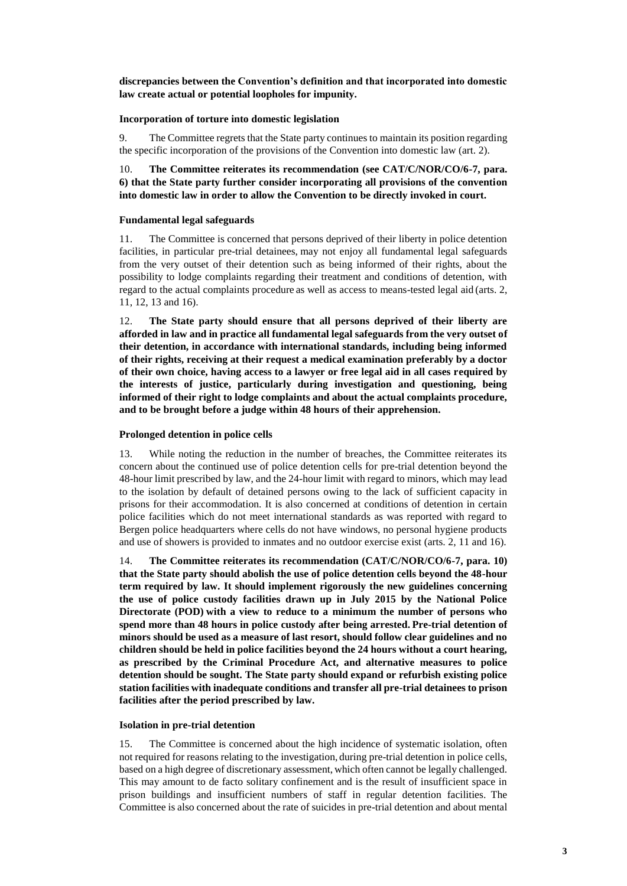**discrepancies between the Convention's definition and that incorporated into domestic law create actual or potential loopholes for impunity.**

## **Incorporation of torture into domestic legislation**

9. The Committee regrets that the State party continues to maintain its position regarding the specific incorporation of the provisions of the Convention into domestic law (art. 2).

10. **The Committee reiterates its recommendation (see CAT/C/NOR/CO/6-7, para. 6) that the State party further consider incorporating all provisions of the convention into domestic law in order to allow the Convention to be directly invoked in court.**

## **Fundamental legal safeguards**

11. The Committee is concerned that persons deprived of their liberty in police detention facilities, in particular pre-trial detainees, may not enjoy all fundamental legal safeguards from the very outset of their detention such as being informed of their rights, about the possibility to lodge complaints regarding their treatment and conditions of detention, with regard to the actual complaints procedure as well as access to means-tested legal aid (arts. 2, 11, 12, 13 and 16).

12. **The State party should ensure that all persons deprived of their liberty are afforded in law and in practice all fundamental legal safeguards from the very outset of their detention, in accordance with international standards, including being informed of their rights, receiving at their request a medical examination preferably by a doctor of their own choice, having access to a lawyer or free legal aid in all cases required by the interests of justice, particularly during investigation and questioning, being informed of their right to lodge complaints and about the actual complaints procedure, and to be brought before a judge within 48 hours of their apprehension.**

## **Prolonged detention in police cells**

13. While noting the reduction in the number of breaches, the Committee reiterates its concern about the continued use of police detention cells for pre-trial detention beyond the 48-hour limit prescribed by law, and the 24-hour limit with regard to minors, which may lead to the isolation by default of detained persons owing to the lack of sufficient capacity in prisons for their accommodation. It is also concerned at conditions of detention in certain police facilities which do not meet international standards as was reported with regard to Bergen police headquarters where cells do not have windows, no personal hygiene products and use of showers is provided to inmates and no outdoor exercise exist (arts. 2, 11 and 16).

14. **The Committee reiterates its recommendation (CAT/C/NOR/CO/6-7, para. 10) that the State party should abolish the use of police detention cells beyond the 48-hour term required by law. It should implement rigorously the new guidelines concerning the use of police custody facilities drawn up in July 2015 by the National Police Directorate (POD) with a view to reduce to a minimum the number of persons who spend more than 48 hours in police custody after being arrested. Pre-trial detention of minors should be used as a measure of last resort, should follow clear guidelines and no children should be held in police facilities beyond the 24 hours without a court hearing, as prescribed by the Criminal Procedure Act, and alternative measures to police detention should be sought. The State party should expand or refurbish existing police station facilities with inadequate conditions and transfer all pre-trial detainees to prison facilities after the period prescribed by law.**

### **Isolation in pre-trial detention**

15. The Committee is concerned about the high incidence of systematic isolation, often not required for reasons relating to the investigation, during pre-trial detention in police cells, based on a high degree of discretionary assessment, which often cannot be legally challenged. This may amount to de facto solitary confinement and is the result of insufficient space in prison buildings and insufficient numbers of staff in regular detention facilities. The Committee is also concerned about the rate of suicides in pre-trial detention and about mental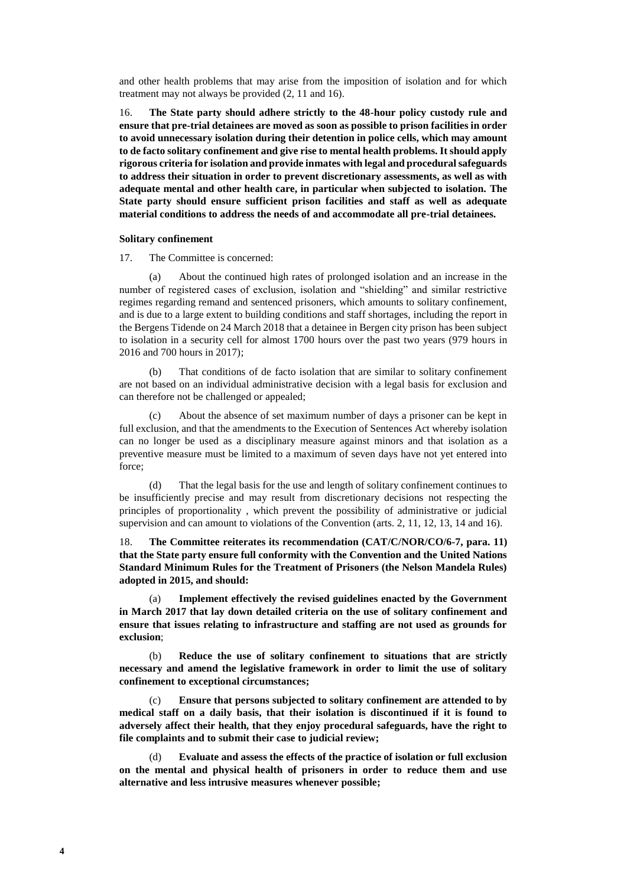and other health problems that may arise from the imposition of isolation and for which treatment may not always be provided (2, 11 and 16).

16. **The State party should adhere strictly to the 48-hour policy custody rule and ensure that pre-trial detainees are moved as soon as possible to prison facilities in order to avoid unnecessary isolation during their detention in police cells, which may amount to de facto solitary confinement and give rise to mental health problems. It should apply rigorous criteria for isolation and provide inmates with legal and procedural safeguards to address their situation in order to prevent discretionary assessments, as well as with adequate mental and other health care, in particular when subjected to isolation. The State party should ensure sufficient prison facilities and staff as well as adequate material conditions to address the needs of and accommodate all pre-trial detainees.**

#### **Solitary confinement**

17. The Committee is concerned:

(a) About the continued high rates of prolonged isolation and an increase in the number of registered cases of exclusion, isolation and "shielding" and similar restrictive regimes regarding remand and sentenced prisoners, which amounts to solitary confinement, and is due to a large extent to building conditions and staff shortages, including the report in the Bergens Tidende on 24 March 2018 that a detainee in Bergen city prison has been subject to isolation in a security cell for almost 1700 hours over the past two years (979 hours in 2016 and 700 hours in 2017);

(b) That conditions of de facto isolation that are similar to solitary confinement are not based on an individual administrative decision with a legal basis for exclusion and can therefore not be challenged or appealed;

(c) About the absence of set maximum number of days a prisoner can be kept in full exclusion, and that the amendments to the Execution of Sentences Act whereby isolation can no longer be used as a disciplinary measure against minors and that isolation as a preventive measure must be limited to a maximum of seven days have not yet entered into force;

(d) That the legal basis for the use and length of solitary confinement continues to be insufficiently precise and may result from discretionary decisions not respecting the principles of proportionality , which prevent the possibility of administrative or judicial supervision and can amount to violations of the Convention (arts. 2, 11, 12, 13, 14 and 16).

18. **The Committee reiterates its recommendation (CAT/C/NOR/CO/6-7, para. 11) that the State party ensure full conformity with the Convention and the United Nations Standard Minimum Rules for the Treatment of Prisoners (the Nelson Mandela Rules) adopted in 2015, and should:**

Implement effectively the revised guidelines enacted by the Government **in March 2017 that lay down detailed criteria on the use of solitary confinement and ensure that issues relating to infrastructure and staffing are not used as grounds for exclusion**;

(b) **Reduce the use of solitary confinement to situations that are strictly necessary and amend the legislative framework in order to limit the use of solitary confinement to exceptional circumstances;**

(c) **Ensure that persons subjected to solitary confinement are attended to by medical staff on a daily basis, that their isolation is discontinued if it is found to adversely affect their health, that they enjoy procedural safeguards, have the right to file complaints and to submit their case to judicial review;**

(d) **Evaluate and assess the effects of the practice of isolation or full exclusion on the mental and physical health of prisoners in order to reduce them and use alternative and less intrusive measures whenever possible;**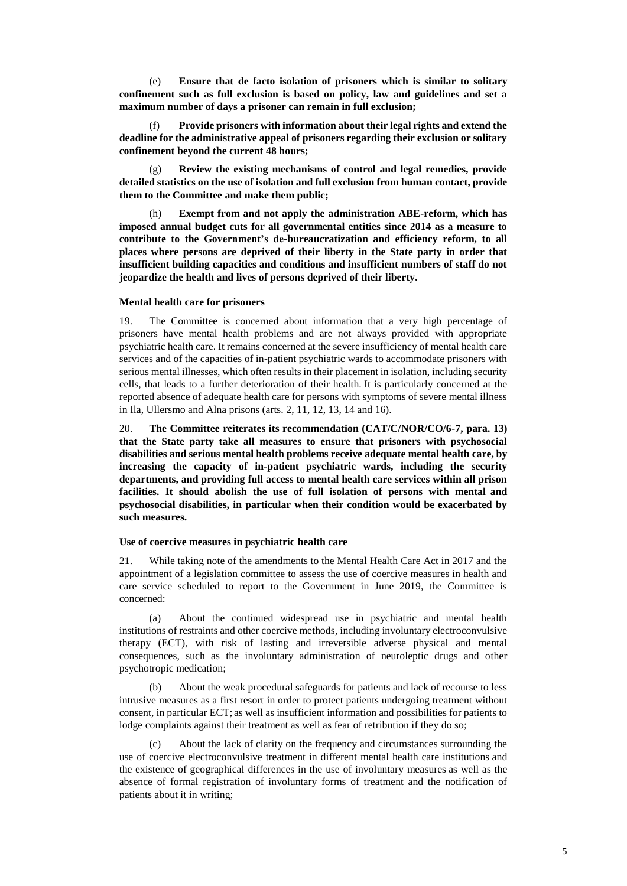(e) **Ensure that de facto isolation of prisoners which is similar to solitary confinement such as full exclusion is based on policy, law and guidelines and set a maximum number of days a prisoner can remain in full exclusion;**

(f) **Provide prisoners with information about their legal rights and extend the deadline for the administrative appeal of prisoners regarding their exclusion or solitary confinement beyond the current 48 hours;**

(g) **Review the existing mechanisms of control and legal remedies, provide detailed statistics on the use of isolation and full exclusion from human contact, provide them to the Committee and make them public;**

(h) **Exempt from and not apply the administration ABE-reform, which has imposed annual budget cuts for all governmental entities since 2014 as a measure to contribute to the Government's de-bureaucratization and efficiency reform, to all places where persons are deprived of their liberty in the State party in order that insufficient building capacities and conditions and insufficient numbers of staff do not jeopardize the health and lives of persons deprived of their liberty.**

### **Mental health care for prisoners**

19. The Committee is concerned about information that a very high percentage of prisoners have mental health problems and are not always provided with appropriate psychiatric health care. It remains concerned at the severe insufficiency of mental health care services and of the capacities of in-patient psychiatric wards to accommodate prisoners with serious mental illnesses, which often results in their placement in isolation, including security cells, that leads to a further deterioration of their health. It is particularly concerned at the reported absence of adequate health care for persons with symptoms of severe mental illness in Ila, Ullersmo and Alna prisons (arts. 2, 11, 12, 13, 14 and 16).

20. **The Committee reiterates its recommendation (CAT/C/NOR/CO/6-7, para. 13) that the State party take all measures to ensure that prisoners with psychosocial disabilities and serious mental health problems receive adequate mental health care, by increasing the capacity of in-patient psychiatric wards, including the security departments, and providing full access to mental health care services within all prison facilities. It should abolish the use of full isolation of persons with mental and psychosocial disabilities, in particular when their condition would be exacerbated by such measures.**

#### **Use of coercive measures in psychiatric health care**

21. While taking note of the amendments to the Mental Health Care Act in 2017 and the appointment of a legislation committee to assess the use of coercive measures in health and care service scheduled to report to the Government in June 2019, the Committee is concerned:

(a) About the continued widespread use in psychiatric and mental health institutions of restraints and other coercive methods, including involuntary electroconvulsive therapy (ECT), with risk of lasting and irreversible adverse physical and mental consequences, such as the involuntary administration of neuroleptic drugs and other psychotropic medication;

(b) About the weak procedural safeguards for patients and lack of recourse to less intrusive measures as a first resort in order to protect patients undergoing treatment without consent, in particular ECT; as well as insufficient information and possibilities for patients to lodge complaints against their treatment as well as fear of retribution if they do so;

(c) About the lack of clarity on the frequency and circumstances surrounding the use of coercive electroconvulsive treatment in different mental health care institutions and the existence of geographical differences in the use of involuntary measures as well as the absence of formal registration of involuntary forms of treatment and the notification of patients about it in writing;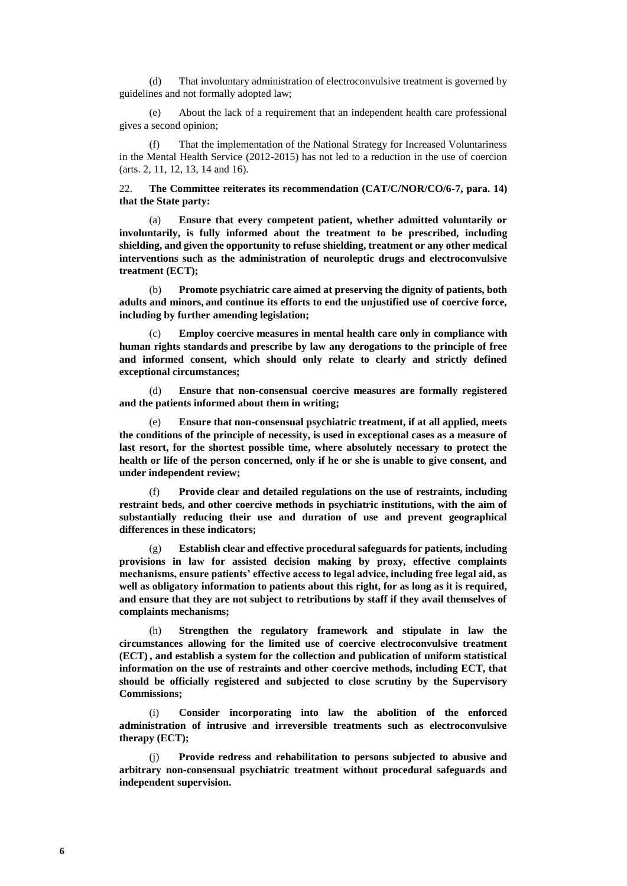(d) That involuntary administration of electroconvulsive treatment is governed by guidelines and not formally adopted law;

(e) About the lack of a requirement that an independent health care professional gives a second opinion;

(f) That the implementation of the National Strategy for Increased Voluntariness in the Mental Health Service (2012-2015) has not led to a reduction in the use of coercion (arts. 2, 11, 12, 13, 14 and 16).

22. **The Committee reiterates its recommendation (CAT/C/NOR/CO/6-7, para. 14) that the State party:**

(a) **Ensure that every competent patient, whether admitted voluntarily or involuntarily, is fully informed about the treatment to be prescribed, including shielding, and given the opportunity to refuse shielding, treatment or any other medical interventions such as the administration of neuroleptic drugs and electroconvulsive treatment (ECT);**

(b) **Promote psychiatric care aimed at preserving the dignity of patients, both adults and minors, and continue its efforts to end the unjustified use of coercive force, including by further amending legislation;**

(c) **Employ coercive measures in mental health care only in compliance with human rights standards and prescribe by law any derogations to the principle of free and informed consent, which should only relate to clearly and strictly defined exceptional circumstances;**

(d) **Ensure that non-consensual coercive measures are formally registered and the patients informed about them in writing;**

(e) **Ensure that non-consensual psychiatric treatment, if at all applied, meets the conditions of the principle of necessity, is used in exceptional cases as a measure of last resort, for the shortest possible time, where absolutely necessary to protect the health or life of the person concerned, only if he or she is unable to give consent, and under independent review;**

(f) **Provide clear and detailed regulations on the use of restraints, including restraint beds, and other coercive methods in psychiatric institutions, with the aim of substantially reducing their use and duration of use and prevent geographical differences in these indicators;**

(g) **Establish clear and effective procedural safeguards for patients, including provisions in law for assisted decision making by proxy, effective complaints mechanisms, ensure patients' effective access to legal advice, including free legal aid, as well as obligatory information to patients about this right, for as long as it is required, and ensure that they are not subject to retributions by staff if they avail themselves of complaints mechanisms;**

(h) **Strengthen the regulatory framework and stipulate in law the circumstances allowing for the limited use of coercive electroconvulsive treatment (ECT) , and establish a system for the collection and publication of uniform statistical information on the use of restraints and other coercive methods, including ECT, that should be officially registered and subjected to close scrutiny by the Supervisory Commissions;**

(i) **Consider incorporating into law the abolition of the enforced administration of intrusive and irreversible treatments such as electroconvulsive therapy (ECT);**

(j) **Provide redress and rehabilitation to persons subjected to abusive and arbitrary non-consensual psychiatric treatment without procedural safeguards and independent supervision.**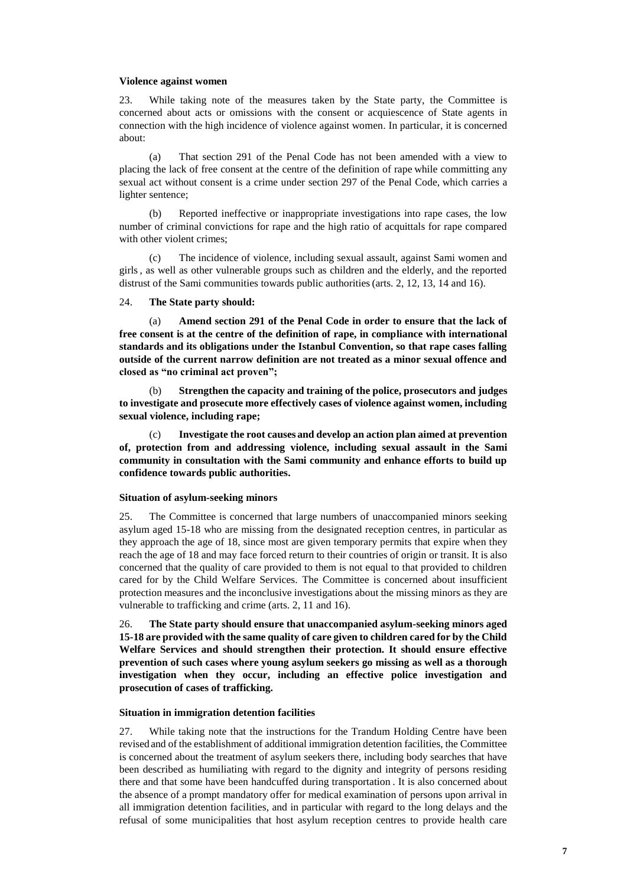#### **Violence against women**

23. While taking note of the measures taken by the State party, the Committee is concerned about acts or omissions with the consent or acquiescence of State agents in connection with the high incidence of violence against women. In particular, it is concerned about:

(a) That section 291 of the Penal Code has not been amended with a view to placing the lack of free consent at the centre of the definition of rape while committing any sexual act without consent is a crime under section 297 of the Penal Code, which carries a lighter sentence;

(b) Reported ineffective or inappropriate investigations into rape cases, the low number of criminal convictions for rape and the high ratio of acquittals for rape compared with other violent crimes;

(c) The incidence of violence, including sexual assault, against Sami women and girls, as well as other vulnerable groups such as children and the elderly, and the reported distrust of the Sami communities towards public authorities(arts. 2, 12, 13, 14 and 16).

#### 24. **The State party should:**

(a) **Amend section 291 of the Penal Code in order to ensure that the lack of free consent is at the centre of the definition of rape, in compliance with international standards and its obligations under the Istanbul Convention, so that rape cases falling outside of the current narrow definition are not treated as a minor sexual offence and closed as "no criminal act proven";**

(b) **Strengthen the capacity and training of the police, prosecutors and judges to investigate and prosecute more effectively cases of violence against women, including sexual violence, including rape;**

(c) **Investigate the root causes and develop an action plan aimed at prevention of, protection from and addressing violence, including sexual assault in the Sami community in consultation with the Sami community and enhance efforts to build up confidence towards public authorities.**

#### **Situation of asylum-seeking minors**

25. The Committee is concerned that large numbers of unaccompanied minors seeking asylum aged 15-18 who are missing from the designated reception centres, in particular as they approach the age of 18, since most are given temporary permits that expire when they reach the age of 18 and may face forced return to their countries of origin or transit. It is also concerned that the quality of care provided to them is not equal to that provided to children cared for by the Child Welfare Services. The Committee is concerned about insufficient protection measures and the inconclusive investigations about the missing minors as they are vulnerable to trafficking and crime (arts. 2, 11 and 16).

26. **The State party should ensure that unaccompanied asylum-seeking minors aged 15-18 are provided with the same quality of care given to children cared for by the Child Welfare Services and should strengthen their protection. It should ensure effective prevention of such cases where young asylum seekers go missing as well as a thorough investigation when they occur, including an effective police investigation and prosecution of cases of trafficking.** 

#### **Situation in immigration detention facilities**

27. While taking note that the instructions for the Trandum Holding Centre have been revised and of the establishment of additional immigration detention facilities, the Committee is concerned about the treatment of asylum seekers there, including body searches that have been described as humiliating with regard to the dignity and integrity of persons residing there and that some have been handcuffed during transportation . It is also concerned about the absence of a prompt mandatory offer for medical examination of persons upon arrival in all immigration detention facilities, and in particular with regard to the long delays and the refusal of some municipalities that host asylum reception centres to provide health care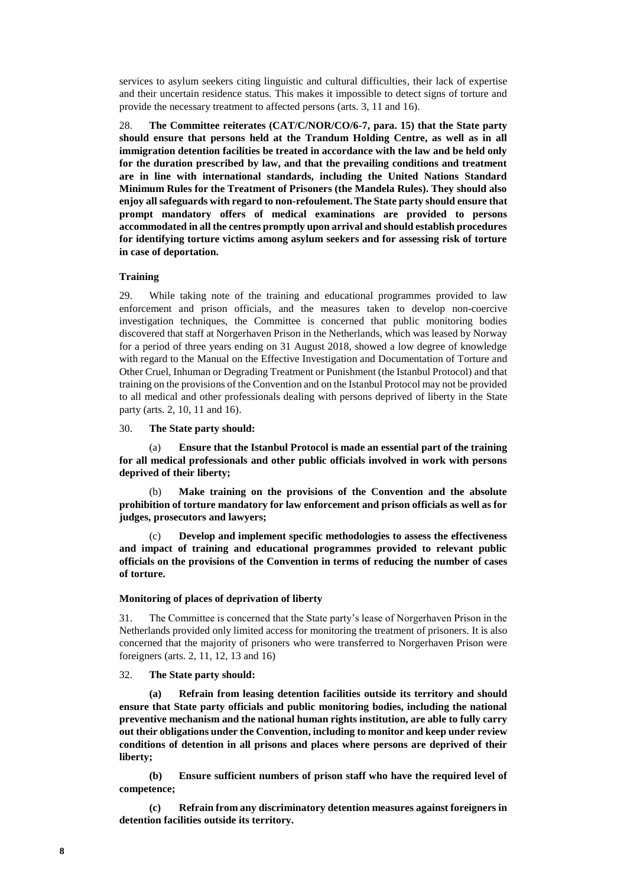services to asylum seekers citing linguistic and cultural difficulties, their lack of expertise and their uncertain residence status. This makes it impossible to detect signs of torture and provide the necessary treatment to affected persons (arts. 3, 11 and 16).

28. **The Committee reiterates (CAT/C/NOR/CO/6-7, para. 15) that the State party should ensure that persons held at the Trandum Holding Centre, as well as in all immigration detention facilities be treated in accordance with the law and be held only for the duration prescribed by law, and that the prevailing conditions and treatment are in line with international standards, including the United Nations Standard Minimum Rules for the Treatment of Prisoners (the Mandela Rules). They should also enjoy all safeguards with regard to non-refoulement.The State party should ensure that prompt mandatory offers of medical examinations are provided to persons accommodated in all the centres promptly upon arrival and should establish procedures for identifying torture victims among asylum seekers and for assessing risk of torture in case of deportation.**

### **Training**

29. While taking note of the training and educational programmes provided to law enforcement and prison officials, and the measures taken to develop non-coercive investigation techniques, the Committee is concerned that public monitoring bodies discovered that staff at Norgerhaven Prison in the Netherlands, which was leased by Norway for a period of three years ending on 31 August 2018, showed a low degree of knowledge with regard to the Manual on the Effective Investigation and Documentation of Torture and Other Cruel, Inhuman or Degrading Treatment or Punishment (the Istanbul Protocol) and that training on the provisions of the Convention and on the Istanbul Protocol may not be provided to all medical and other professionals dealing with persons deprived of liberty in the State party (arts. 2, 10, 11 and 16).

30. **The State party should:**

(a) **Ensure that the Istanbul Protocol is made an essential part of the training for all medical professionals and other public officials involved in work with persons deprived of their liberty;**

(b) **Make training on the provisions of the Convention and the absolute prohibition of torture mandatory for law enforcement and prison officials as well as for judges, prosecutors and lawyers;**

(c) **Develop and implement specific methodologies to assess the effectiveness and impact of training and educational programmes provided to relevant public officials on the provisions of the Convention in terms of reducing the number of cases of torture.**

#### **Monitoring of places of deprivation of liberty**

31. The Committee is concerned that the State party's lease of Norgerhaven Prison in the Netherlands provided only limited access for monitoring the treatment of prisoners. It is also concerned that the majority of prisoners who were transferred to Norgerhaven Prison were foreigners (arts. 2, 11, 12, 13 and 16)

32. **The State party should:**

**(a) Refrain from leasing detention facilities outside its territory and should ensure that State party officials and public monitoring bodies, including the national preventive mechanism and the national human rights institution, are able to fully carry out their obligations under the Convention, including to monitor and keep under review conditions of detention in all prisons and places where persons are deprived of their liberty;**

**(b) Ensure sufficient numbers of prison staff who have the required level of competence;**

**(c) Refrain from any discriminatory detention measures against foreigners in detention facilities outside its territory.**